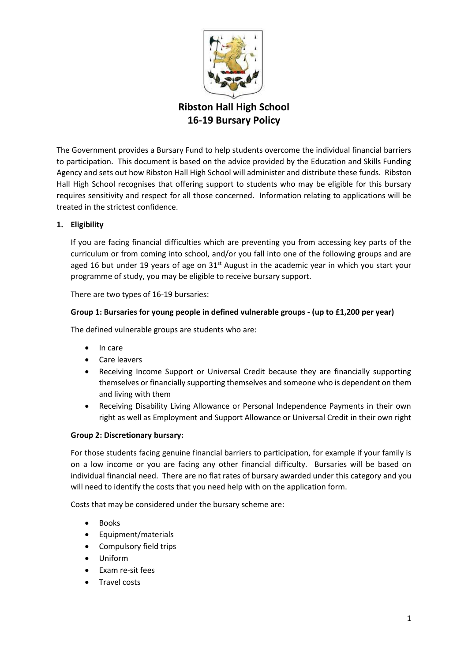

**16-19 Bursary Policy**

The Government provides a Bursary Fund to help students overcome the individual financial barriers to participation. This document is based on the advice provided by the Education and Skills Funding Agency and sets out how Ribston Hall High School will administer and distribute these funds. Ribston Hall High School recognises that offering support to students who may be eligible for this bursary requires sensitivity and respect for all those concerned. Information relating to applications will be treated in the strictest confidence.

## **1. Eligibility**

If you are facing financial difficulties which are preventing you from accessing key parts of the curriculum or from coming into school, and/or you fall into one of the following groups and are aged 16 but under 19 years of age on  $31<sup>st</sup>$  August in the academic year in which you start your programme of study, you may be eligible to receive bursary support.

There are two types of 16-19 bursaries:

## **Group 1: Bursaries for young people in defined vulnerable groups - (up to £1,200 per year)**

The defined vulnerable groups are students who are:

- In care
- Care leavers
- Receiving Income Support or Universal Credit because they are financially supporting themselves or financially supporting themselves and someone who is dependent on them and living with them
- Receiving Disability Living Allowance or Personal Independence Payments in their own right as well as Employment and Support Allowance or Universal Credit in their own right

#### **Group 2: Discretionary bursary:**

For those students facing genuine financial barriers to participation, for example if your family is on a low income or you are facing any other financial difficulty. Bursaries will be based on individual financial need. There are no flat rates of bursary awarded under this category and you will need to identify the costs that you need help with on the application form.

Costs that may be considered under the bursary scheme are:

- Books
- Equipment/materials
- Compulsory field trips
- Uniform
- Exam re-sit fees
- Travel costs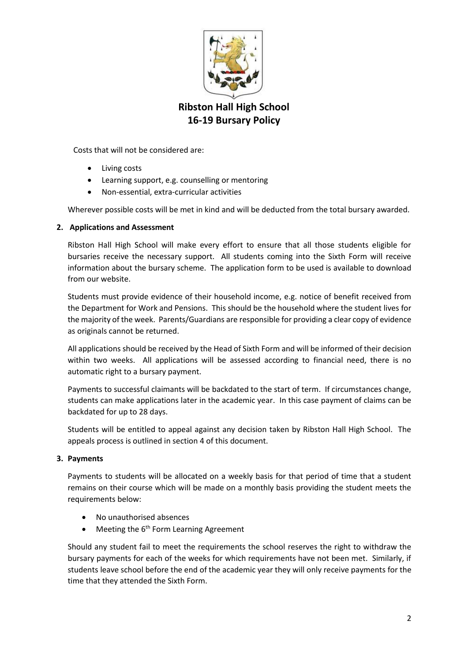

Costs that will not be considered are:

- Living costs
- Learning support, e.g. counselling or mentoring
- Non-essential, extra-curricular activities

Wherever possible costs will be met in kind and will be deducted from the total bursary awarded.

## **2. Applications and Assessment**

Ribston Hall High School will make every effort to ensure that all those students eligible for bursaries receive the necessary support. All students coming into the Sixth Form will receive information about the bursary scheme. The application form to be used is available to download from our website.

Students must provide evidence of their household income, e.g. notice of benefit received from the Department for Work and Pensions. This should be the household where the student lives for the majority of the week. Parents/Guardians are responsible for providing a clear copy of evidence as originals cannot be returned.

All applications should be received by the Head of Sixth Form and will be informed of their decision within two weeks. All applications will be assessed according to financial need, there is no automatic right to a bursary payment.

Payments to successful claimants will be backdated to the start of term. If circumstances change, students can make applications later in the academic year. In this case payment of claims can be backdated for up to 28 days.

Students will be entitled to appeal against any decision taken by Ribston Hall High School. The appeals process is outlined in section 4 of this document.

#### **3. Payments**

Payments to students will be allocated on a weekly basis for that period of time that a student remains on their course which will be made on a monthly basis providing the student meets the requirements below:

- No unauthorised absences
- Meeting the  $6<sup>th</sup>$  Form Learning Agreement

Should any student fail to meet the requirements the school reserves the right to withdraw the bursary payments for each of the weeks for which requirements have not been met. Similarly, if students leave school before the end of the academic year they will only receive payments for the time that they attended the Sixth Form.